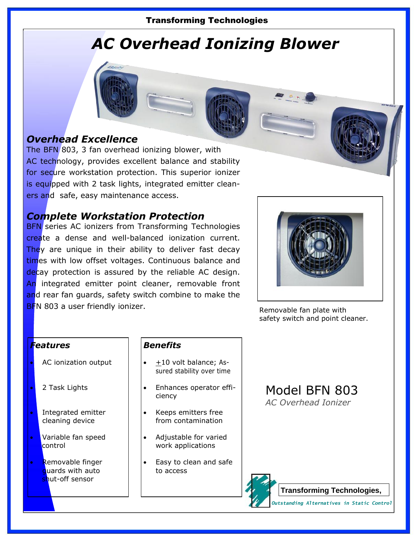### Transforming Technologies

# *AC Overhead Ionizing Blower*

### *Overhead Excellence*

The BFN 803, 3 fan overhead ionizing blower, with AC technology, provides excellent balance and stability for secure workstation protection. This superior ionizer is equipped with 2 task lights, integrated emitter cleaners and safe, easy maintenance access.

### *Complete Workstation Protection*

**BFN** series AC ionizers from Transforming Technologies create a dense and well-balanced ionization current. They are unique in their ability to deliver fast decay times with low offset voltages. Continuous balance and decay protection is assured by the reliable AC design. An integrated emitter point cleaner, removable front and rear fan guards, safety switch combine to make the BFN 803 a user friendly ionizer.



Removable fan plate with safety switch and point cleaner.

### *Features*

- AC ionization output
- 2 Task Lights
- Integrated emitter cleaning device
- Variable fan speed control
- Removable finger quards with auto shut-off sensor

### *Benefits*

- +10 volt balance; Assured stability over time
- Enhances operator efficiency
- Keeps emitters free from contamination
- Adjustable for varied work applications
- Easy to clean and safe to access

## Model BFN 803

*AC Overhead Ionizer*



**Transforming Technologies,** 

*Outstanding Alternatives in Static Control*